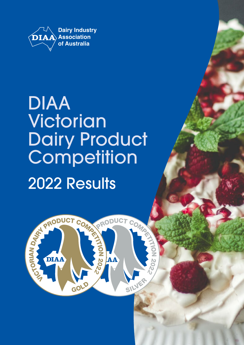

# DIAA **Victorian** Dairy Product **Competition** 2022 Results



**HION**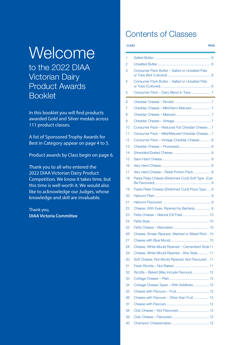# **Welcome**

to the 2022 DIAA Victorian Dairy Product Awards Booklet

In this booklet you will find products awarded Gold and Silver medals across 111 product classes.

A list of Sponsored Trophy Awards for Best in Category appear on [page 4 to 5](#page-3-0).

Product awards by Class begin o[n page 6](#page-5-0).

Thank you to all who entered the 2022 DIAA Victorian Dairy Product Competition. We know it takes time, but this time is well worth it. We would also like to acknowledge our Judges, whose knowledge and skill are invaluable.

Thank you, **DIAA Victoria Committee**

## Contents of Classes

#### **CLASS PAGE**

| 1  |                                                     |
|----|-----------------------------------------------------|
| 2  |                                                     |
| 3  | Consumer Pack Butter - Salted or Unsalted Pats      |
| 4  | Consumer Pack Butter - Salted or Unsalted Pats      |
| 5  | <u> 1989 - Johann Barnett, martin e</u>             |
| 6  |                                                     |
| 7  |                                                     |
| 8  |                                                     |
| 9  |                                                     |
| 10 | Consumer Pack - Reduced Fat Cheddar Cheese  7       |
| 11 | Consumer Pack - Mild/Matured Cheddar Cheese 7       |
| 12 | Consumer Pack - Vintage Cheddar Cheese 8            |
| 13 |                                                     |
| 14 |                                                     |
| 15 |                                                     |
| 16 |                                                     |
| 17 | Very Hard Cheese - Retail Portion Pack 8            |
| 18 | Pasta Filata Cheese (Stretched Curd) Soft Type (Can |
| 19 | Pasta Filata Cheese (Stretched Curd) Pizza Type 9   |
| 20 |                                                     |
| 21 |                                                     |
| 22 | Cheese, With Eyes, Ripened by Bacteria 9            |
| 23 | Fetta Cheese - Natural (Oil Free)  10               |
| 24 |                                                     |
| 25 |                                                     |
| 26 | Cheese, Smear Ripened, Washed or Mixed Rind10       |
| 27 |                                                     |
| 28 | Cheese, White Mould Ripened - Camembert Style 11    |
| 29 | Cheese, White Mould Ripened - Brie Style 11         |
| 30 | Soft Cheese, Not Mould Ripened, Not Flavoured  11   |
| 31 |                                                     |
| 32 | Ricotta - Baked (May Include Flavours)  12          |
| 33 |                                                     |
| 34 | Cottage Cheese Types - With Additives  12           |
| 35 |                                                     |
| 36 | Cheese with Flavours - Other than Fruit 12          |
| 37 |                                                     |
| 38 | Club Cheese - Not Flavoured 12                      |
| 39 |                                                     |
| 40 |                                                     |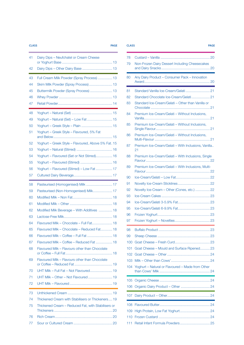#### **CLASS PAGE CLASS PAGE**

|  | u.    |    | × |
|--|-------|----|---|
|  | _____ | n, |   |
|  |       |    |   |
|  |       |    |   |

| 41 | Dairy Dips - Neufchatel or Cream Cheese             |
|----|-----------------------------------------------------|
| 42 | Dairy Dips - Other Dairy Base  13                   |
| 43 | Full Cream Milk Powder (Spray Process)  13          |
| 44 | Skim Milk Powder (Spray Process)  13                |
| 45 | Buttermilk Powder (Spray Process)  13               |
| 46 |                                                     |
| 47 |                                                     |
| 48 |                                                     |
| 49 | Yoghurt - Natural (Set) - Low Fat  15               |
| 50 |                                                     |
| 51 | Yoghurt - Greek Style - Flavoured, 5% Fat           |
| 52 | Yoghurt - Greek Style - Flavoured, Above 5% Fat. 15 |
| 53 |                                                     |
| 54 | Yoghurt - Flavoured (Set or Not Stirred) 16         |
| 55 |                                                     |
| 56 | Yoghurt - Flavoured (Stirred) - Low Fat  17         |
| 57 |                                                     |
| 58 |                                                     |
| 59 | Pasteurised (Non-Homogenised) Milk 17               |
| 60 |                                                     |
| 61 |                                                     |
| 62 | Modified Milk Beverage - With Additives  18         |
| 63 |                                                     |
| 64 | Flavoured Milk - Chocolate - Full Fat 18            |
| 65 | Flavoured Milk - Chocolate - Reduced Fat 18         |
| 66 | Flavoured Milk - Coffee - Full Fat  18              |
| 67 | Flavoured Milk - Coffee - Reduced Fat  18           |
| 68 | Flavoured Milk - Flavours other than Chocolate      |
| 69 | Flavoured Milk - Flavours other than Chocolate      |
| 70 | UHT Milk - Full Fat - Not Flavoured 19              |
| 71 | UHT Milk - Other - Not Flavoured  19                |
| 72 |                                                     |
| 73 |                                                     |
| 74 | Thickened Cream with Stabilisers or Thickeners 19   |
| 75 | Thickened Cream – Reduced Fat, with Stabilisers or  |
| 76 |                                                     |
| 77 |                                                     |
|    |                                                     |

| 78  |                                                           |
|-----|-----------------------------------------------------------|
| 79  | Non-Frozen Dairy Dessert Including Cheesecakes            |
| 80  | Any Dairy Product - Consumer Pack - Innovation            |
| 81  |                                                           |
| 82  |                                                           |
| 83  | Standard Ice-Cream/Gelati - Other than Vanilla or         |
| 84  | Premium Ice-Cream/Gelati - Without Inclusions,            |
| 85  | Premium Ice-Cream/Gelati - Without Inclusions,            |
| 86  | Premium Ice-Cream/Gelati - Without Inclusions,            |
| 87  | Premium Ice-Cream/Gelati - With Inclusions, Vanilla<br>21 |
| 88  | Premium Ice-Cream/Gelati - With Inclusions, Single        |
| 89  | Premium Ice-Cream/Gelati - With Inclusions, Multi-        |
| 90  |                                                           |
| 91  |                                                           |
| 92  | Novelty Ice-Cream - Other (Cones, etc.)  22               |
| 93  |                                                           |
| 94  |                                                           |
| 95  |                                                           |
| 96  |                                                           |
| 97  |                                                           |
| 98  |                                                           |
| 99  |                                                           |
| 100 |                                                           |
| 101 | Goat Cheese - Mould and Surface Ripened 23                |
| 102 |                                                           |
| 103 |                                                           |
| 104 | Yoghurt - Natural or Flavoured - Made from Other          |
| 105 |                                                           |
| 106 |                                                           |
| 107 |                                                           |
| 108 |                                                           |
| 109 |                                                           |
| 110 |                                                           |
| 111 |                                                           |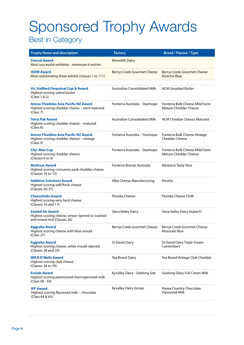# <span id="page-3-0"></span>Sponsored Trophy Awards

## Best in Category

| <b>Trophy Name and description</b>                                                                        | <b>Factory</b>                      | <b>Brand / Flavour / Type</b>                                  |
|-----------------------------------------------------------------------------------------------------------|-------------------------------------|----------------------------------------------------------------|
| <b>Trescal Award</b><br>Most successful exhibitor - minimum 6 entries                                     | <b>Meredith Dairy</b>               |                                                                |
| <b>IXOM Award</b><br>Most outstanding show exhibit (classes 1 to 111)                                     | <b>Berrys Creek Gourmet Cheese</b>  | <b>Berrys Creek Gourmet Cheese</b><br><b>Riverine Blue</b>     |
| <b>Vic Stafford Perpetual Cup &amp; Award</b><br>Highest scoring salted butter<br>(Class 1 & 2)           | <b>Australian Consolidated Milk</b> | <b>ACM Unsalted Butter</b>                                     |
| Amcor Flexibles Asia Pacific NZ Award<br>Highest scoring cheddar cheese - semi matured<br>(Class 7)       | Fonterra Australia - Stanhope       | Fonterra Bulk Cheese Mild/Semi<br><b>Mature Cheddar Cheese</b> |
| Tetra Pak Award<br>Highest scoring cheddar cheese - matured<br>(Class 8)                                  | <b>Australian Consolidated Milk</b> | <b>ACM Cheddar Cheese Matured</b>                              |
| Amcor Flexibles Asia Pacific NZ Award<br>Highest scoring cheddar cheese - vintage<br>(Class 9)            | Fonterra Australia - Stanhope       | Fonterra Bulk Cheese Vintage<br><b>Cheddar Cheese</b>          |
| <b>Chy-Max Cup</b><br>Highest scoring cheddar cheese<br>(Classes 6 to 9)                                  | Fonterra Australia - Stanhope       | Fonterra Bulk Cheese Mild/Semi<br>Mature Cheddar Cheese        |
| <b>Multivac Award</b><br>Highest scoring consumer pack cheddar cheese<br>(Classes 10 to 12)               | Fonterra Brands Australia           | <b>Westacre Tasty Slice</b>                                    |
| <b>Additive Solutions Award</b><br>Highest scoring soft/fresh cheese<br>(Classes 30-37)                   | Alba Cheese Manufacturing           | Ricotta                                                        |
| <b>Cheeselinks Award</b><br>Highest scoring very hard cheese<br>(Classes 16 and 17)                       | <b>Floridia Cheese</b>              | Floridia Cheese Chilli                                         |
| <b>Sealed Air Award</b><br>Highest scoring cheese, smear ripened or washed<br>and mixed rind (Classes 26) | Yarra Valley Dairy                  | Yarra Valley Dairy Hubert's                                    |
| <b>Aggreko Award</b><br>Highest scoring cheese with blue mould<br>(Class 27)                              | Berrys Creek Gourmet Cheese         | Berrys Creek Gourmet Cheese<br>Mossvale Blue                   |
| <b>Aggreko Award</b><br>Highest scoring cheese, white mould ripened<br>(Classes 28 and 29)                | <b>St David Dairy</b>               | St David Dairy Triple Cream<br>Camembert                       |
| <b>WR &amp; D Wells Award</b><br>Highest scoring club cheese<br>(Classes 38 to 39)                        | Yea Brand Dairy                     | Yea Brand Vintage Club Cheddar                                 |
| <b>Ecolab Award</b><br>Highest scoring pasteurised (homogenised) milk<br>(Class 58 - 59)                  | Kyvalley Dairy - Geelong Site       | <b>Geelong Dairy Full Cream Milk</b>                           |
| <b>IFF Award</b><br>Highest scoring flavoured milk - chocolate<br>(Class 64 & 65)                         | Kyvalley Dairy Group                | Kiewa Country Chocolate<br><b>Flavoured Milk</b>               |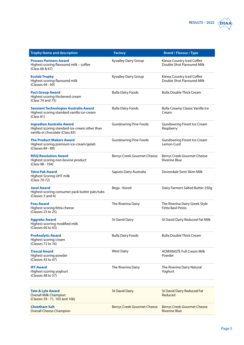

| <b>Trophy Name and description</b>                                                                                   | <b>Factory</b>                     | <b>Brand / Flavour / Type</b>                              |
|----------------------------------------------------------------------------------------------------------------------|------------------------------------|------------------------------------------------------------|
| <b>Process Partners Award</b><br>Highest scoring flavoured milk - coffee<br>(Class 66 & 67)                          | Kyvalley Dairy Group               | Kiewa Country Iced Coffee<br>Double Shot Flavoured Milk    |
| <b>Ecolab Trophy</b><br>Highest scoring flavoured milk<br>(Classes 64 - 69)                                          | Kyvalley Dairy Group               | Kiewa Country Iced Coffee<br>Double Shot Flavoured Milk    |
| <b>Pact Group Award</b><br>Highest scoring thickened cream<br>(Class 74 and 75)                                      | <b>Bulla Dairy Foods</b>           | <b>Bulla Double Thick Cream</b>                            |
| <b>Sensient Technologies Australia Award</b><br>Highest scoring standard vanilla ice-cream<br>(Class 81)             | <b>Bulla Dairy Foods</b>           | Bulla Creamy Classic Vanilla Ice<br>Cream                  |
| <b>Ingredion Australia Award</b><br>Highest scoring standard ice-cream other than<br>vanilla or chocolate (Class 83) | <b>Gundowring Fine Foods</b>       | <b>Gundowring Finest Ice Cream</b><br>Raspberry            |
| <b>The Product Makers Award</b><br>Highest scoring premium ice-cream/gelati<br>(Classes 84 - 89)                     | <b>Gundowring Fine Foods</b>       | <b>Gundowring Finest Ice Cream</b><br>Lemon Curd           |
| <b>RISQ Resolution Award</b><br>Highest scoring non-bovine product<br>(Class 98 - 104)                               | Berrys Creek Gourmet Cheese        | Berrys Creek Gourmet Cheese<br><b>Riverine Blue</b>        |
| <b>Tetra Pak Award</b><br>Highest Scoring UHT milk<br>(Class 70-72)                                                  | Saputo Dairy Australia             | Devondale Semi Skim Milk                                   |
| <b>Jasol Award</b><br>Highest scoring consumer pack butter pats/tubs<br>(Classes 3 and 4)                            | Bega - Koroit                      | Dairy Farmers Salted Butter 250g                           |
| <b>Foss Award</b><br>Highest scoring fetta cheese<br>(Classes 23 to 25)                                              | The Riverina Dairy                 | The Riverina Dairy Greek Style<br><b>Fetta Basil Pesto</b> |
| <b>Aggreko Award</b><br>Highest scorring modified milk<br>(Classes 60 to 63)                                         | <b>St David Dairy</b>              | St David Dairy Reduced Fat Milk                            |
| <b>ProAnalytic Award</b><br>Highest scoring cream<br>(Classes 72 to 76)                                              | <b>Bulla Dairy Foods</b>           | <b>Bulla Double Thick Cream</b>                            |
| <b>Trescal Award</b><br>Highest scoring powder<br>(Classes 43 to 47)                                                 | <b>West Dairy</b>                  | <b>AOWANGTE Full Cream Milk</b><br>Powder                  |
| <b>IFF Award</b><br>Highest scoring yoghurt<br>(Classes 48 to 57)                                                    | The Riverina Dairy                 | The Riverina Dairy Natural<br>Yoghurt                      |
|                                                                                                                      |                                    |                                                            |
| <b>Tate &amp; Lyle Award</b><br><b>Overall Milk Champion</b><br>(Classes 59 - 71, 103 and 106)                       | <b>St David Dairy</b>              | <b>St David Dairy Reduced Fat</b><br>Reduced               |
| <b>Cheetham Salt</b><br><b>Overall Cheese Champion</b>                                                               | <b>Berrys Creek Gourmet Cheese</b> | <b>Berrys Creek Gourmet Cheese</b><br><b>Riverine Blue</b> |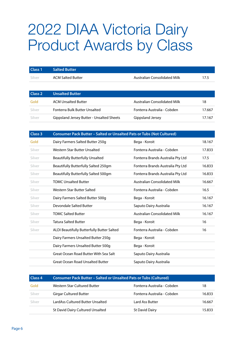## <span id="page-5-0"></span>2022 DIAA Victoria Dairy Product Awards by Class

| Class <sub>1</sub> | <b>Salted Butter</b>                      |                                     |        |
|--------------------|-------------------------------------------|-------------------------------------|--------|
| Silver             | <b>ACM Salted Butter</b>                  | <b>Australian Consolidated Milk</b> | 17.5   |
|                    |                                           |                                     |        |
| Class 2            | <b>Unsalted Butter</b>                    |                                     |        |
| Gold               | <b>ACM Unsalted Butter</b>                | <b>Australian Consolidated Milk</b> | 18     |
| Silver             | Fonterra Bulk Butter Unsalted             | Fonterra Australia - Cobden         | 17.667 |
| Silver             | Gippsland Jersey Butter - Unsalted Sheets | Gippsland Jersey                    | 17.167 |

| <b>Class 3</b><br><b>Consumer Pack Butter - Salted or Unsalted Pats or Tubs (Not Cultured)</b> |                                            |                                     |        |  |
|------------------------------------------------------------------------------------------------|--------------------------------------------|-------------------------------------|--------|--|
| Gold                                                                                           | Dairy Farmers Salted Butter 250g           | Bega - Koroit                       | 18.167 |  |
| Silver                                                                                         | Western Star Butter Unsalted               | Fonterra Australia - Cobden         | 17.833 |  |
| Silver                                                                                         | <b>Beautifully Butterfully Unsalted</b>    | Fonterra Brands Australia Pty Ltd   | 17.5   |  |
| Silver                                                                                         | Beautifully Butterfully Salted 250gm       | Fonterra Brands Australia Pty Ltd   | 16.833 |  |
| Silver                                                                                         | Beautifully Butterfully Salted 500gm       | Fonterra Brands Australia Pty Ltd   | 16.833 |  |
| Silver                                                                                         | <b>TOMC Unsalted Butter</b>                | <b>Australian Consolidated Milk</b> | 16.667 |  |
| Silver                                                                                         | Western Star Butter Salted                 | Fonterra Australia - Cobden         | 16.5   |  |
| Silver                                                                                         | Dairy Farmers Salted Butter 500g           | Bega - Koroit                       | 16.167 |  |
| Silver                                                                                         | Devondale Salted Butter                    | Saputo Dairy Australia              | 16.167 |  |
| Silver                                                                                         | <b>TOMC Salted Butter</b>                  | <b>Australian Consolidated Milk</b> | 16.167 |  |
| Silver                                                                                         | <b>Tatura Salted Butter</b>                | Bega - Koroit                       | 16     |  |
| Silver                                                                                         | ALDI Beautifully Butterfully Butter Salted | Fonterra Australia - Cobden         | 16     |  |
|                                                                                                | Dairy Farmers Unsalted Butter 250g         | Bega - Koroit                       |        |  |
|                                                                                                | Dairy Farmers Unsalted Butter 500g         | Bega - Koroit                       |        |  |
|                                                                                                | Great Ocean Road Butter With Sea Salt      | Saputo Dairy Australia              |        |  |
|                                                                                                | Great Ocean Road Unsalted Butter           | Saputo Dairy Australia              |        |  |

| Class <sub>4</sub> | <b>Consumer Pack Butter - Salted or Unsalted Pats or Tubs (Cultured)</b> |                             |        |
|--------------------|--------------------------------------------------------------------------|-----------------------------|--------|
| Gold               | Western Star Cultured Butter                                             | Fonterra Australia - Cobden | 18     |
| Silver             | <b>Girgar Cultured Butter</b>                                            | Fonterra Australia - Cobden | 16.833 |
| Silver             | LardAss Cultured Butter Unsalted                                         | Lard Ass Butter             | 16.667 |
|                    | St David Dairy Cultured Unsalted                                         | <b>St David Dairy</b>       | 15.833 |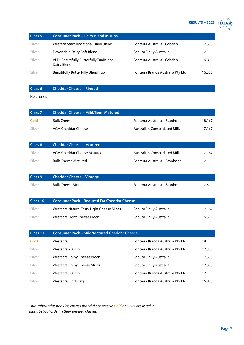### **RESULTS – 2022 DIAA**

<span id="page-6-0"></span>

| <b>Class 5</b> | <b>Consumer Pack - Dairy Blend in Tubs</b>              |                                   |        |
|----------------|---------------------------------------------------------|-----------------------------------|--------|
| Silver         | Western Start Traditional Dairy Blend                   | Fonterra Australia - Cobden       | 17.333 |
| Silver         | Devondale Dairy Soft Blend                              | Saputo Dairy Australia            | 17     |
| Silver         | ALDI Beautifully Butterfully Traditional<br>Dairy Blend | Fonterra Australia - Cobden       | 16.833 |
| Silver         | <b>Beautifully Butterfully Blend Tub</b>                | Fonterra Brands Australia Pty Ltd | 16.333 |

### **Class 6 Cheddar Cheese – Rinded**

#### No entries

| Class <sub>7</sub> | Cheddar Cheese – Mild/Semi Matured |                                     |        |
|--------------------|------------------------------------|-------------------------------------|--------|
| Gold               | <b>Bulk Cheese</b>                 | Fonterra Australia – Stanhope       | 18.167 |
| Silver             | ACM Cheddar Cheese                 | <b>Australian Consolidated Milk</b> | 17.167 |

| Class 8  | <b>Cheddar Cheese - Matured</b> |                               |        |
|----------|---------------------------------|-------------------------------|--------|
| - Silver | ACM Cheddar Cheese Matured      | Australian Consolidated Milk  | 17.167 |
| Silver   | <b>Bulk Cheese Matured</b>      | Fonterra Australia – Stanhope | 17     |

| Class 9 | <b>Cheddar Cheese - Vintage</b> |                               |      |
|---------|---------------------------------|-------------------------------|------|
| Silver  | <b>Bulk Cheese Vintage</b>      | Fonterra Australia – Stanhope | 17.5 |

| Class 10 | <b>Consumer Pack - Reduced Fat Cheddar Cheese</b> |                        |        |
|----------|---------------------------------------------------|------------------------|--------|
| Silver   | Westacre Natural Tasty Light Cheese Slices        | Saputo Dairy Australia | 17.167 |
| Silver   | Westacre Light Cheese Block                       | Saputo Dairy Australia | 16.5   |

| Class 11 | <b>Consumer Pack - Mild/Matured Cheddar Cheese</b> |                                   |        |
|----------|----------------------------------------------------|-----------------------------------|--------|
| Gold     | Westacre                                           | Fonterra Brands Australia Pty Ltd | 18     |
| Silver   | Westacre 250gm                                     | Fonterra Brands Australia Pty Ltd | 17.333 |
| Silver   | <b>Westacre Colby Cheese Block</b>                 | Saputo Dairy Australia            | 17.333 |
| Silver   | <b>Westacre Colby Cheese Slices</b>                | Saputo Dairy Australia            | 17.333 |
| Silver   | Westacre 500gm                                     | Fonterra Brands Australia Pty Ltd | 17     |
| Silver   | Westacre Block 1kg                                 | Fonterra Brands Australia Pty Ltd | 16.833 |

*Throughout this booklet, entries that did not receive Gold or Silver are listed in alphabetical order in their entered classes.*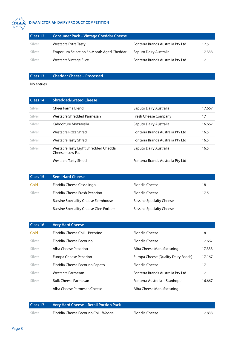<span id="page-7-0"></span>

#### **DIAA VIC DIAA VICTORIAN DAIRY PRODUCT COMPETITION**

| Class 12 | <b>Consumer Pack - Vintage Cheddar Cheese</b> |                                   |        |
|----------|-----------------------------------------------|-----------------------------------|--------|
| Silver   | <b>Westacre Extra Tasty</b>                   | Fonterra Brands Australia Pty Ltd | 17.5   |
| Silver   | Emporium Selection 36 Month Aged Cheddar      | Saputo Dairy Australia            | 17.333 |
| Silver   | Westacre Vintage Slice                        | Fonterra Brands Australia Pty Ltd |        |

#### **Class 13 Cheddar Cheese – Processed**

| Class 14 | <b>Shredded/Grated Cheese</b>                             |                                   |        |
|----------|-----------------------------------------------------------|-----------------------------------|--------|
| Silver   | Cheer Parma Blend                                         | Saputo Dairy Australia            | 17.667 |
| Silver   | Westacre Shredded Parmesan                                | <b>Fresh Cheese Company</b>       | 17     |
| Silver   | Caboolture Mozzarella                                     | Saputo Dairy Australia            | 16.667 |
| Silver   | Westacre Pizza Shred                                      | Fonterra Brands Australia Pty Ltd | 16.5   |
| Silver   | Westacre Tasty Shred                                      | Fonterra Brands Australia Pty Ltd | 16.5   |
| Silver   | Westacre Tasty Light Shredded Cheddar<br>Cheese - Low Fat | Saputo Dairy Australia            | 16.5   |
|          | Westacre Tasty Shred                                      | Fonterra Brands Australia Pty Ltd |        |

| Class 15 | <b>Semi Hard Cheese</b>                       |                                 |      |
|----------|-----------------------------------------------|---------------------------------|------|
| Gold     | Floridia Cheese Cassalingo                    | Floridia Cheese                 | 18   |
| Silver   | Floridia Cheese Fresh Pecorino                | Floridia Cheese                 | 17.5 |
|          | <b>Bassine Speciality Cheese Farmhouse</b>    | <b>Bassine Specialty Cheese</b> |      |
|          | <b>Bassine Speciality Cheese Glen Forbers</b> | <b>Bassine Specialty Cheese</b> |      |

| Class 16 | <b>Very Hard Cheese</b>         |                                     |        |
|----------|---------------------------------|-------------------------------------|--------|
| Gold     | Floridia Cheese Chilli Pecorino | <b>Floridia Cheese</b>              | 18     |
| Silver   | <b>Floridia Cheese Pecorino</b> | <b>Floridia Cheese</b>              | 17.667 |
| Silver   | Alba Cheese Pecorino            | Alba Cheese Manufacturing           | 17.333 |
| Silver   | Europa Cheese Pecorino          | Europa Cheese (Quality Dairy Foods) | 17.167 |
| Silver   | Floridia Cheese Pecorino Pepato | <b>Floridia Cheese</b>              | 17     |
| Silver   | Westacre Parmesan               | Fonterra Brands Australia Pty Ltd   | 17     |
| Silver   | <b>Bulk Cheese Parmesan</b>     | Fonterra Australia - Stanhope       | 16.667 |
|          | Alba Cheese Parmesan Cheese     | Alba Cheese Manufacturing           |        |

| Class 17 | Very Hard Cheese - Retail Portion Pack |                 |        |
|----------|----------------------------------------|-----------------|--------|
| Silver   | Floridia Cheese Pecorino Chilli Wedge  | Floridia Cheese | 17.833 |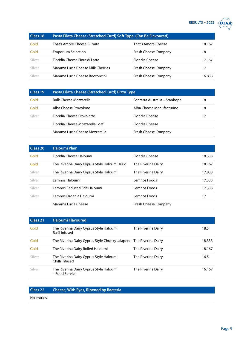#### **RESULTS – 2022 DIAA**



<span id="page-8-0"></span>

| Class 18 | Pasta Filata Cheese (Stretched Curd) Soft Type (Can Be Flavoured) |                             |        |
|----------|-------------------------------------------------------------------|-----------------------------|--------|
| Gold     | That's Amore Cheese Burrata                                       | That's Amore Cheese         | 18.167 |
| Gold     | <b>Emporium Selection</b>                                         | Fresh Cheese Company        | 18     |
| Silver   | Floridia Cheese Fiora di Latte                                    | Floridia Cheese             | 17.167 |
| Silver   | Mamma Lucia Cheese Milk Cherries                                  | <b>Fresh Cheese Company</b> | 17     |
| Silver   | Mamma Lucia Cheese Bocconcini                                     | <b>Fresh Cheese Company</b> | 16.833 |

| Class 19 | Pasta Filata Cheese (Stretched Curd) Pizza Type |                               |    |
|----------|-------------------------------------------------|-------------------------------|----|
| Gold     | <b>Bulk Cheese Mozzarella</b>                   | Fonterra Australia – Stanhope | 18 |
| Gold     | Alba Cheese Provolone                           | Alba Cheese Manufacturing     | 18 |
| Silver   | Floridia Cheese Provolette                      | Floridia Cheese               | 17 |
|          | Floridia Cheese Mozzarella Loaf                 | <b>Floridia Cheese</b>        |    |
|          | Mamma Lucia Cheese Mozzarella                   | <b>Fresh Cheese Company</b>   |    |

| Class 20 | <b>Haloumi Plain</b>                         |                      |        |
|----------|----------------------------------------------|----------------------|--------|
| Gold     | Floridia Cheese Haloumi                      | Floridia Cheese      | 18.333 |
| Gold     | The Riverina Dairy Cyprus Style Haloumi 180g | The Riverina Dairy   | 18.167 |
| Silver   | The Riverina Dairy Cyprus Style Haloumi      | The Riverina Dairy   | 17.833 |
| Silver   | Lemnos Haloumi                               | Lemnos Foods         | 17.333 |
| Silver   | Lemnos Reduced Salt Haloumi                  | Lemnos Foods         | 17.333 |
| Silver   | Lemnos Organic Haloumi                       | Lemnos Foods         | 17     |
|          | Mamma Lucia Cheese                           | Fresh Cheese Company |        |

| Class 21 | <b>Haloumi Flavoured</b>                                           |                    |        |
|----------|--------------------------------------------------------------------|--------------------|--------|
| Gold     | The Riverina Dairy Cyprus Style Haloumi<br><b>Basil Infused</b>    | The Riverina Dairy | 18.5   |
| Gold     | The Riverina Dairy Cyprus Style Chunky Jalapeno The Riverina Dairy |                    | 18.333 |
| Gold     | The Riverina Dairy Rolled Haloumi                                  | The Riverina Dairy | 18.167 |
| Silver   | The Riverina Dairy Cyprus Style Haloumi<br>Chilli Infused          | The Riverina Dairy | 16.5   |
| Silver   | The Riverina Dairy Cyprus Style Haloumi<br>– Food Service          | The Riverina Dairy | 16.167 |

### **Class 22 Cheese, With Eyes, Ripened by Bacteria**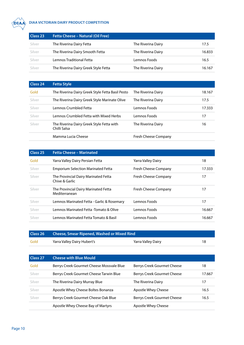<span id="page-9-0"></span>

#### **DIAA VICTORIAN DAIRY PRODUCT COMPETITION**

| Class <sub>23</sub> | <b>Fetta Cheese - Natural (Oil Free)</b> |                    |        |
|---------------------|------------------------------------------|--------------------|--------|
| Silver              | The Riverina Dairy Fetta                 | The Riverina Dairy | 17.5   |
| Silver              | The Riverina Dairy Smooth Fetta          | The Riverina Dairy | 16.833 |
| Silver              | Lemnos Traditional Fetta                 | Lemnos Foods       | 16.5   |
| Silver              | The Riverina Dairy Greek Style Fetta     | The Riverina Dairy | 16.167 |

| Class 24 | <b>Fetta Style</b>                                        |                      |        |
|----------|-----------------------------------------------------------|----------------------|--------|
| Gold     | The Riverina Dairy Greek Style Fetta Basil Pesto          | The Riverina Dairy   | 18.167 |
| Silver   | The Riverina Dairy Greek Style Marinate Olive             | The Riverina Dairy   | 17.5   |
| Silver   | Lemnos Crumbled Fetta                                     | Lemnos Foods         | 17.333 |
| Silver   | Lemnos Crumbled Fetta with Mixed Herbs                    | Lemnos Foods         | 17     |
| Silver   | The Riverina Dairy Greek Style Fetta with<br>Chilli Salsa | The Riverina Dairy   | 16     |
|          | Mamma Lucia Cheese                                        | Fresh Cheese Company |        |

| Class 25 | <b>Fetta Cheese - Marinated</b>                        |                             |        |
|----------|--------------------------------------------------------|-----------------------------|--------|
| Gold     | Yarra Valley Dairy Persian Fetta                       | Yarra Valley Dairy          | 18     |
| Silver   | <b>Emporium Selection Marinated Fetta</b>              | <b>Fresh Cheese Company</b> | 17.333 |
| Silver   | The Provincial Dairy Marinated Fetta<br>Chive & Garlic | Fresh Cheese Company        | 17     |
| Silver   | The Provincial Dairy Marinated Fetta<br>Mediterranean  | Fresh Cheese Company        | 17     |
| Silver   | Lemnos Marinated Fetta - Garlic & Rosemary             | Lemnos Foods                | 17     |
| Silver   | Lemnos Marinated Fetta -Tomato & Olive                 | Lemnos Foods                | 16.667 |
| Silver   | Lemnos Marinated Fetta Tomato & Basil                  | Lemnos Foods                | 16.667 |

| Class 26 | <b>Cheese, Smear Ripened, Washed or Mixed Rind</b> |                    |  |
|----------|----------------------------------------------------|--------------------|--|
| Gold     | Yarra Valley Dairy Hubert's                        | Yarra Valley Dairy |  |

| Class 27 | <b>Cheese with Blue Mould</b>             |                             |        |
|----------|-------------------------------------------|-----------------------------|--------|
| Gold     | Berrys Creek Gourmet Cheese Mossvale Blue | Berrys Creek Gourmet Cheese | 18     |
| Silver   | Berrys Creek Gourmet Cheese Tarwin Blue   | Berrys Creek Gourmet Cheese | 17.667 |
| Silver   | The Riverina Dairy Murray Blue            | The Riverina Dairy          | 17     |
| Silver   | Apostle Whey Cheese Boltes Bonanza        | Apostle Whey Cheese         | 16.5   |
| Silver   | Berrys Creek Gourmet Cheese Oak Blue      | Berrys Creek Gourmet Cheese | 16.5   |
|          | Apostle Whey Cheese Bay of Martyrs        | Apostle Whey Cheese         |        |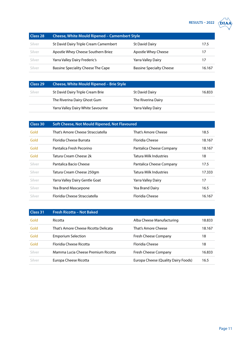### **RESULTS – 2022**  $\overrightarrow{DIAA}$



<span id="page-10-0"></span>

| Class <sub>28</sub> | <b>Cheese, White Mould Ripened - Camembert Style</b> |                                 |        |
|---------------------|------------------------------------------------------|---------------------------------|--------|
| Silver              | St David Dairy Triple Cream Camembert                | <b>St David Dairy</b>           | 17.5   |
| Silver              | Apostle Whey Cheese Southern Briez                   | Apostle Whey Cheese             | 17     |
| Silver              | Yarra Valley Dairy Frederic's                        | Yarra Valley Dairy              |        |
| Silver              | Bassine Speciality Cheese The Cape                   | <b>Bassine Specialty Cheese</b> | 16.167 |

| Class 29 | <b>Cheese, White Mould Ripened - Brie Style</b> |                    |        |
|----------|-------------------------------------------------|--------------------|--------|
| Silver   | St David Dairy Triple Cream Brie                | St David Dairy     | 16.833 |
|          | The Riverina Dairy Ghost Gum                    | The Riverina Dairy |        |
|          | Yarra Valley Dairy White Savourine              | Yarra Valley Dairy |        |

| Class 30 | Soft Cheese, Not Mould Ripened, Not Flavoured |                               |        |
|----------|-----------------------------------------------|-------------------------------|--------|
| Gold     | That's Amore Cheese Stracciatella             | That's Amore Cheese           | 18.5   |
| Gold     | <b>Floridia Cheese Burrata</b>                | <b>Floridia Cheese</b>        | 18.167 |
| Gold     | Pantalica Fresh Pecorino                      | Pantalica Cheese Company      | 18.167 |
| Gold     | Tatura Cream Cheese 2k                        | Tatura Milk Industries        | 18     |
| Silver   | Pantalica Bacio Cheese                        | Pantalica Cheese Company      | 17.5   |
| Silver   | Tatura Cream Cheese 250gm                     | <b>Tatura Milk Industries</b> | 17.333 |
| Silver   | Yarra Valley Dairy Gentle Goat                | Yarra Valley Dairy            | 17     |
| Silver   | Yea Brand Mascarpone                          | Yea Brand Dairy               | 16.5   |
| Silver   | Floridia Cheese Stracciatella                 | <b>Floridia Cheese</b>        | 16.167 |

| Class 31 | Fresh Ricotta - Not Baked            |                                     |        |
|----------|--------------------------------------|-------------------------------------|--------|
| Gold     | Ricotta                              | Alba Cheese Manufacturing           | 18.833 |
| Gold     | That's Amore Cheese Ricotta Delicata | That's Amore Cheese                 | 18.167 |
| Gold     | <b>Emporium Selection</b>            | Fresh Cheese Company                | 18     |
| Gold     | <b>Floridia Cheese Ricotta</b>       | <b>Floridia Cheese</b>              | 18     |
| Silver   | Mamma Lucia Cheese Premium Ricotta   | Fresh Cheese Company                | 16.833 |
| Silver   | Europa Cheese Ricotta                | Europa Cheese (Quality Dairy Foods) | 16.5   |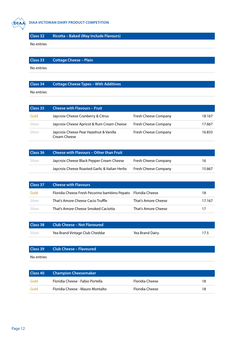<span id="page-11-0"></span>

No entries

No entries

#### **Class 34 Cottage Cheese Types – With Additives**

| Class 35 | <b>Cheese with Flavours - Fruit</b>                     |                             |        |
|----------|---------------------------------------------------------|-----------------------------|--------|
| Gold     | Jaycroix Cheese Cranberry & Citrus                      | Fresh Cheese Company        | 18.167 |
| Silver   | Jaycroix Cheese Apricot & Rum Cream Cheese              | <b>Fresh Cheese Company</b> | 17.667 |
| Silver   | Jaycroix Cheese Pear Hazelnut & Vanilla<br>Cream Cheese | <b>Fresh Cheese Company</b> | 16.833 |

| Class 36 | Cheese with Flavours - Other than Fruit        |                             |        |
|----------|------------------------------------------------|-----------------------------|--------|
| Silver   | Jaycroix Cheese Black Pepper Cream Cheese      | <b>Fresh Cheese Company</b> | 16     |
|          | Jaycroix Cheese Roasted Garlic & Italian Herbs | <b>Fresh Cheese Company</b> | 15.667 |

| Class 37 | <b>Cheese with Flavours</b>                                   |                     |        |
|----------|---------------------------------------------------------------|---------------------|--------|
| Gold     | Floridia Cheese Fresh Pecorino bambino Pepato Floridia Cheese |                     | 18     |
| Silver   | That's Amore Cheese Cacio Truffle                             | That's Amore Cheese | 17.167 |
| Silver   | That's Amore Cheese Smoked Caciotta                           | That's Amore Cheese | 17     |

| Class 38 | <b>Club Cheese – Not Flavoured</b> |                 |      |
|----------|------------------------------------|-----------------|------|
| Silver   | Yea Brand Vintage Club Cheddar     | Yea Brand Dairy | 17.5 |

|            | <b>Class 39 Club Cheese - Flavoured</b> |
|------------|-----------------------------------------|
| No entries |                                         |

| Class 40 | <b>Champion Cheesemaker</b>      |                 |    |
|----------|----------------------------------|-----------------|----|
| Gold     | Floridia Cheese - Fabio Portella | Floridia Cheese | 18 |
| Gold     | Floridia Cheese - Mauro Montalto | Floridia Cheese | 18 |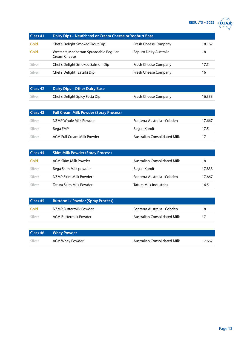## **RESULTS – 2022 DIAA**

| כנ | $\bigtriangleup$ DIAA |
|----|-----------------------|
|    |                       |

<span id="page-12-0"></span>

| Class 41 | Dairy Dips - Neufchatel or Cream Cheese or Yoghurt Base |                             |        |
|----------|---------------------------------------------------------|-----------------------------|--------|
| Gold     | Chef's Delight Smoked Trout Dip                         | <b>Fresh Cheese Company</b> | 18.167 |
| Gold     | Westacre Manhattan Spreadable Regular<br>Cream Cheese   | Saputo Dairy Australia      | 18     |
| Silver   | Chef's Delight Smoked Salmon Dip                        | <b>Fresh Cheese Company</b> | 17.5   |
| Silver   | Chef's Delight Tzatziki Dip                             | <b>Fresh Cheese Company</b> | 16     |

| Class 42 | Dairy Dips - Other Dairy Base  |                             |        |
|----------|--------------------------------|-----------------------------|--------|
| Silver   | Chef's Delight Spicy Fetta Dip | <b>Fresh Cheese Company</b> | 16.333 |

| Class 43 | <b>Full Cream Milk Powder (Spray Process)</b> |                                     |        |
|----------|-----------------------------------------------|-------------------------------------|--------|
| Silver   | NZMP Whole Milk Powder                        | Fonterra Australia - Cobden         | 17.667 |
| Silver   | Bega FMP                                      | Bega - Koroit                       | 17.5   |
| Silver   | ACM Full Cream Milk Powder                    | <b>Australian Consolidated Milk</b> | 17     |

| Class 44 | <b>Skim Milk Powder (Spray Process)</b> |                                     |        |
|----------|-----------------------------------------|-------------------------------------|--------|
| Gold     | ACM Skim Milk Powder                    | <b>Australian Consolidated Milk</b> | 18     |
| Silver   | Bega Skim Milk powder                   | Bega - Koroit                       | 17.833 |
| Silver   | NZMP Skim Milk Powder                   | Fonterra Australia - Cobden         | 17.667 |
| Silver   | Tatura Skim Milk Powder                 | <b>Tatura Milk Industries</b>       | 16.5   |

| Class 45 | <b>Buttermilk Powder (Spray Process)</b> |                                     |    |
|----------|------------------------------------------|-------------------------------------|----|
| Gold     | N7MP Buttermilk Powder                   | Fonterra Australia - Cobden         | 18 |
| - Silver | ACM Buttermilk Powder                    | <b>Australian Consolidated Milk</b> |    |

|        | <b>Class 46</b> Whey Powder |                                     |        |
|--------|-----------------------------|-------------------------------------|--------|
| Silver | ACM Whey Powder             | <b>Australian Consolidated Milk</b> | 17.667 |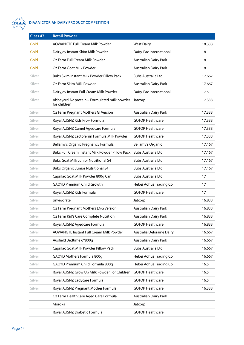<span id="page-13-0"></span>

#### **DIAA VICTORIAN DAIRY PRODUCT COMPETITION**

| Class 47 | <b>Retail Powder</b>                                         |                              |        |
|----------|--------------------------------------------------------------|------------------------------|--------|
| Gold     | <b>AOWANGTE Full Cream Milk Powder</b>                       | <b>West Dairy</b>            | 18.333 |
| Gold     | Dairyjoy Instant Skim Milk Powder                            | Dairy-Pac International      | 18     |
| Gold     | Oz Farm Full Cream Milk Powder                               | Australian Dairy Park        | 18     |
| Gold     | Oz Farm Goat Milk Powder                                     | <b>Australian Dairy Park</b> | 18     |
| Silver   | Bubs Skim Instant Milk Powder Pillow Pack                    | <b>Bubs Australia Ltd</b>    | 17.667 |
| Silver   | Oz Farm Skim Milk Powder                                     | Australian Dairy Park        | 17.667 |
| Silver   | Dairyjoy Instant Full Cream Milk Powder                      | Dairy-Pac International      | 17.5   |
| Silver   | Abbeyard A2 protein - Formulated milk powder<br>for children | Jatcorp                      | 17.333 |
| Silver   | Oz Farm Pregnant Mothers GI Version                          | <b>Australian Dairy Park</b> | 17.333 |
| Silver   | Royal AUSNZ Kids Pro+ Formula                                | <b>GOTOP Healthcare</b>      | 17.333 |
| Silver   | Royal AUSNZ Camel Agedcare Formula                           | <b>GOTOP Healthcare</b>      | 17.333 |
| Silver   | Royal AUSNZ Lactoferrin Formula Milk Powder                  | <b>GOTOP Healthcare</b>      | 17.333 |
| Silver   | Bellamy's Organic Pregnancy Formula                          | Bellamy's Organic            | 17.167 |
| Silver   | Bubs Full Cream Instant Milk Powder Pillow Pack              | <b>Bubs Australia Ltd</b>    | 17.167 |
| Silver   | <b>Bubs Goat Milk Junior Nutritional S4</b>                  | Bubs Australia Ltd           | 17.167 |
| Silver   | <b>Bubs Organic Junior Nutritional S4</b>                    | <b>Bubs Australia Ltd</b>    | 17.167 |
| Silver   | Caprilac Goat Milk Powder 800g Can                           | <b>Bubs Australia Ltd</b>    | 17     |
| Silver   | <b>GAOYD Premium Child Growth</b>                            | Hebei Aohua Trading Co       | 17     |
| Silver   | Royal AUSNZ Kids Formula                                     | <b>GOTOP Healthcare</b>      | 17     |
| Silver   | Jinvigorate                                                  | Jatcorp                      | 16.833 |
| Silver   | Oz Farm Pregnant Mothers ENG Version                         | <b>Australian Dairy Park</b> | 16.833 |
| Silver   | Oz Farm Kid's Care Complete Nutrition                        | <b>Australian Dairy Park</b> | 16.833 |
| Silver   | Royal AUSNZ Agedcare Formula                                 | <b>GOTOP Healthcare</b>      | 16.833 |
| Silver   | AOWANGTE Instant Full Cream Milk Powder                      | Australia Deloraine Dairy    | 16.667 |
| Silver   | Ausfield Bedtime 6*800g                                      | <b>Australian Dairy Park</b> | 16.667 |
| Silver   | Caprilac Goat Milk Powder Pillow Pack                        | <b>Bubs Australia Ltd</b>    | 16.667 |
| Silver   | GAOYD Mothers Formula 800g                                   | Hebei Aohua Trading Co       | 16.667 |
| Silver   | GAOYD Premium Child Formula 800g                             | Hebei Aohua Trading Co       | 16.5   |
| Silver   | Royal AUSNZ Grow Up Milk Powder For Children                 | <b>GOTOP Healthcare</b>      | 16.5   |
| Silver   | Royal AUSNZ Ladycare Formula                                 | <b>GOTOP Healthcare</b>      | 16.5   |
| Silver   | Royal AUSNZ Pregnant Mother Formula                          | <b>GOTOP Healthcare</b>      | 16.333 |
|          | Oz Farm HealthCare Aged Care Formula                         | <b>Australian Dairy Park</b> |        |
|          | Moroka                                                       | Jatcorp                      |        |
|          | Royal AUSNZ Diabetic Formula                                 | <b>GOTOP Healthcare</b>      |        |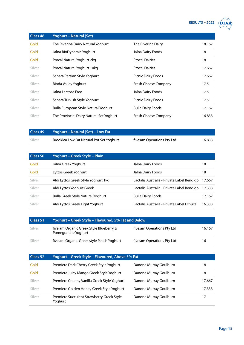$RESULTS - 2022 \quad \boxed{DIAA}$ 

| , | <b>DIAA</b> |
|---|-------------|
|   |             |

<span id="page-14-0"></span>

| <b>Class 48</b> | <b>Yoghurt - Natural (Set)</b>           |                           |        |
|-----------------|------------------------------------------|---------------------------|--------|
| Gold            | The Riverina Dairy Natural Yoghurt       | The Riverina Dairy        | 18.167 |
| Gold            | Jalna BioDynamic Yoghurt                 | Jalna Dairy Foods         | 18     |
| Gold            | Procal Natural Yoghurt 2kg               | <b>Procal Dairies</b>     | 18     |
| Silver          | Procal Natural Yoghurt 10kg              | <b>Procal Dairies</b>     | 17.667 |
| Silver          | Sahara Persian Style Yoghurt             | Picnic Dairy Foods        | 17.667 |
| Silver          | Binda Valley Yoghurt                     | Fresh Cheese Company      | 17.5   |
| Silver          | Jalna Lactose Free                       | Jalna Dairy Foods         | 17.5   |
| Silver          | Sahara Turkish Style Yoghurt             | <b>Picnic Dairy Foods</b> | 17.5   |
| Silver          | Bulla European Style Natural Yoghurt     | <b>Bulla Dairy Foods</b>  | 17.167 |
| Silver          | The Provincial Dairy Natural Set Yoghurt | Fresh Cheese Company      | 16.833 |

| Class 49 | Yoghurt – Natural (Set) – Low Fat        |                            |        |
|----------|------------------------------------------|----------------------------|--------|
| Silver   | Brooklea Low Fat Natural Pot Set Yoghurt | five:am Operations Pty Ltd | 16.833 |

| Class 50 | Yoghurt - Greek Style - Plain            |                                            |        |
|----------|------------------------------------------|--------------------------------------------|--------|
| Gold     | Jalna Greek Yoghurt                      | Jalna Dairy Foods                          | 18     |
| Gold     | Lyttos Greek Yoghurt                     | Jalna Dairy Foods                          | 18     |
| Silver   | Aldi Lyttos Greek Style Yoghurt 1kg      | Lactalis Australia - Private Label Bendigo | 17.667 |
| Silver   | Aldi Lyttos Yoghurt Greek                | Lactalis Australia - Private Label Bendigo | 17.333 |
| Silver   | <b>Bulla Greek Style Natural Yoghurt</b> | <b>Bulla Dairy Foods</b>                   | 17.167 |
| Silver   | Aldi Lyttos Greek Light Yoghurt          | Lactalis Australia - Private Label Echuca  | 16.333 |

| Class 51 | Yoghurt – Greek Style – Flavoured, 5% Fat and Below            |                            |        |
|----------|----------------------------------------------------------------|----------------------------|--------|
| Silver   | five:am Organic Greek Style Blueberry &<br>Pomegranate Yoghurt | five:am Operations Pty Ltd | 16.167 |
| Silver   | five:am Organic Greek style Peach Yoghurt                      | five:am Operations Pty Ltd | 16     |

| Class 52 | Yoghurt - Greek Style - Flavoured, Above 5% Fat      |                        |        |
|----------|------------------------------------------------------|------------------------|--------|
| Gold     | Premiere Dark Cherry Greek Style Yoghurt             | Danone Murray Goulburn | 18     |
| Gold     | Premiere Juicy Mango Greek Style Yoghurt             | Danone Murray Goulburn | 18     |
| Silver   | Premiere Creamy Vanilla Greek Style Yoghurt          | Danone Murray Goulburn | 17.667 |
| Silver   | Premiere Golden Honey Greek Style Yoghurt            | Danone Murray Goulburn | 17.333 |
| Silver   | Premiere Succulent Strawberry Greek Style<br>Yoghurt | Danone Murray Goulburn | 17     |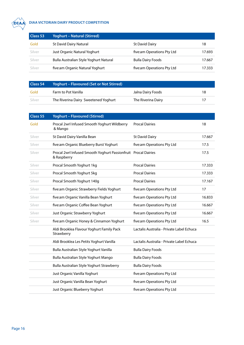<span id="page-15-0"></span>

#### **DIAA VICTORIAN DAIRY PRODUCT COMPETITION**

| Class 53 | <b>Yoghurt - Natural (Stirred)</b>     |                            |        |
|----------|----------------------------------------|----------------------------|--------|
| Gold     | <b>St David Dairy Natural</b>          | <b>St David Dairy</b>      | 18     |
| Silver   | Just Organic Natural Yoghurt           | five:am Operations Pty Ltd | 17.693 |
| Silver   | Bulla Australian Style Yoghurt Natural | <b>Bulla Dairy Foods</b>   | 17.667 |
| Silver   | five:am Organic Natural Yoghurt        | five:am Operations Pty Ltd | 17.333 |

| Class 54 | Yoghurt – Flavoured (Set or Not Stirred) |                    |    |
|----------|------------------------------------------|--------------------|----|
| Gold     | Farm to Pot Vanilla                      | Jalna Dairy Foods  | 18 |
| Silver   | The Riverina Dairy Sweetened Yoghurt     | The Riverina Dairy |    |

| Class 55 | <b>Yoghurt - Flavoured (Stirred)</b>                                          |                                           |        |
|----------|-------------------------------------------------------------------------------|-------------------------------------------|--------|
| Gold     | Procal 2wrl Infused Smooth Yoghurt Wildberry<br>& Mango                       | <b>Procal Dairies</b>                     | 18     |
| Silver   | St David Dairy Vanilla Bean                                                   | <b>St David Dairy</b>                     | 17.667 |
| Silver   | five:am Organic Blueberry Burst Yoghurt                                       | five:am Operations Pty Ltd                | 17.5   |
| Silver   | Procal 2wrl Infused Smooth Yoghurt Passionfruit Procal Dairies<br>& Raspberry |                                           | 17.5   |
| Silver   | Procal Smooth Yoghurt 1kg                                                     | <b>Procal Dairies</b>                     | 17.333 |
| Silver   | Procal Smooth Yoghurt 5kg                                                     | <b>Procal Dairies</b>                     | 17.333 |
| Silver   | Procal Smooth Yoghurt 140g                                                    | <b>Procal Dairies</b>                     | 17.167 |
| Silver   | five:am Organic Strawberry Fields Yoghurt                                     | five:am Operations Pty Ltd                | 17     |
| Silver   | five:am Organic Vanilla Bean Yoghurt                                          | five:am Operations Pty Ltd                | 16.833 |
| Silver   | five:am Organic Coffee Bean Yoghurt                                           | five:am Operations Pty Ltd                | 16.667 |
| Silver   | Just Organic Strawberry Yoghurt                                               | five:am Operations Pty Ltd                | 16.667 |
| Silver   | five:am Organic Honey & Cinnamon Yoghurt                                      | five:am Operations Pty Ltd                | 16.5   |
|          | Aldi Brooklea Flavour Yoghurt Family Pack<br>Strawberry                       | Lactalis Australia - Private Label Echuca |        |
|          | Aldi Brooklea Les Petits Yoghurt Vanilla                                      | Lactalis Australia - Private Label Echuca |        |
|          | Bulla Australian Style Yoghurt Vanilla                                        | <b>Bulla Dairy Foods</b>                  |        |
|          | Bulla Australian Style Yoghurt Mango                                          | <b>Bulla Dairy Foods</b>                  |        |
|          | Bulla Australian Style Yoghurt Strawberry                                     | <b>Bulla Dairy Foods</b>                  |        |
|          | Just Organic Vanilla Yoghurt                                                  | five:am Operations Pty Ltd                |        |
|          | Just Organic Vanilla Bean Yoghurt                                             | five:am Operations Pty Ltd                |        |
|          | Just Organic Blueberry Yoghurt                                                | five:am Operations Pty Ltd                |        |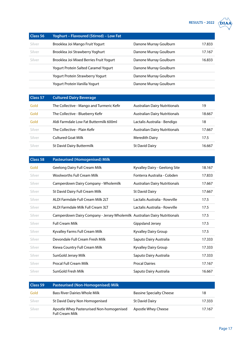

<span id="page-16-0"></span>

| <b>Class 56</b> | Yoghurt - Flavoured (Stirred) - Low Fat |                        |        |
|-----------------|-----------------------------------------|------------------------|--------|
| Silver          | Brooklea Joi Mango Fruit Yogurt         | Danone Murray Goulburn | 17.833 |
| Silver          | Brooklea Joi Strawberry Yoghurt         | Danone Murray Goulburn | 17.167 |
| Silver          | Brooklea Joi Mixed Berries Fruit Yogurt | Danone Murray Goulburn | 16.833 |
|                 | Yogurt Protein Salted Caramel Yogurt    | Danone Murray Goulburn |        |
|                 | <b>Yogurt Protein Strawberry Yogurt</b> | Danone Murray Goulburn |        |
|                 | Yogurt Protein Vanilla Yogurt           | Danone Murray Goulburn |        |

| Class 57 | <b>Cultured Dairy Beverage</b>            |                                      |        |
|----------|-------------------------------------------|--------------------------------------|--------|
| Gold     | The Collective - Mango and Turmeric Kefir | <b>Australian Dairy Nutritionals</b> | 19     |
| Gold     | The Collective - Blueberry Kefir          | <b>Australian Dairy Nutritionals</b> | 18.667 |
| Gold     | Aldi Farmdale Low Fat Buttermilk 600ml    | Lactalis Australia - Bendigo         | 18     |
| Silver   | The Collective - Plain Kefir              | <b>Australian Dairy Nutritionals</b> | 17.667 |
| Silver   | Cultured Goat Milk                        | Meredith Dairy                       | 17.5   |
| Silver   | St David Dairy Buttermilk                 | <b>St David Dairy</b>                | 16.667 |

| <b>Class 58</b> | <b>Pasteurised (Homogenised) Milk</b>                                     |                                      |        |
|-----------------|---------------------------------------------------------------------------|--------------------------------------|--------|
| Gold            | <b>Geelong Dairy Full Cream Milk</b>                                      | Kyvalley Dairy - Geelong Site        | 18.167 |
| Silver          | <b>Woolworths Full Cream Milk</b>                                         | Fonterra Australia - Cobden          | 17.833 |
| Silver          | Camperdown Dairy Company - Wholemilk                                      | <b>Australian Dairy Nutritionals</b> | 17.667 |
| Silver          | St David Dairy Full Cream Milk                                            | <b>St David Dairy</b>                | 17.667 |
| Silver          | ALDI Farmdale Full Cream Milk 2LT                                         | Lactalis Australia - Rowville        | 17.5   |
| Silver          | ALDI Farmdale Milk Full Cream 3LT                                         | Lactalis Australia - Rowville        | 17.5   |
| Silver          | Camperdown Dairy Company - Jersey Wholemilk Australian Dairy Nutritionals |                                      | 17.5   |
| Silver          | <b>Full Cream Milk</b>                                                    | Gippsland Jersey                     | 17.5   |
| Silver          | Kyvalley Farms Full Cream Milk                                            | Kyvalley Dairy Group                 | 17.5   |
| Silver          | Devondale Full Cream Fresh Milk                                           | Saputo Dairy Australia               | 17.333 |
| Silver          | Kiewa Country Full Cream Milk                                             | Kyvalley Dairy Group                 | 17.333 |
| Silver          | SunGold Jersey Milk                                                       | Saputo Dairy Australia               | 17.333 |
| Silver          | Procal Full Cream Milk                                                    | <b>Procal Dairies</b>                | 17.167 |
| Silver          | SunGold Fresh Milk                                                        | Saputo Dairy Australia               | 16.667 |

| Class 59 | <b>Pasteurised (Non-Homogenised) Milk</b>                           |                                 |        |
|----------|---------------------------------------------------------------------|---------------------------------|--------|
| Gold     | Bass River Dairies Whole Milk                                       | <b>Bassine Specialty Cheese</b> | 18     |
| Silver   | St David Dairy Non Homogenised                                      | <b>St David Dairy</b>           | 17.333 |
| Silver   | Apostle Whey Pasterurised Non-homogenised<br><b>Full Cream Milk</b> | Apostle Whey Cheese             | 17.167 |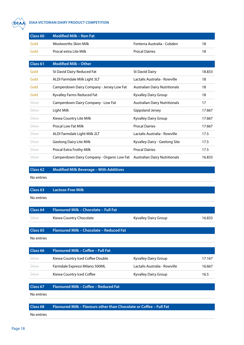<span id="page-17-0"></span>

#### **DIAA VIC DIAA VICTORIAN DAIRY PRODUCT COMPETITION**

| Class 60 | <b>Modified Milk - Non Fat</b>             |                                      |        |
|----------|--------------------------------------------|--------------------------------------|--------|
| Gold     | <b>Woolworths Skim Milk</b>                | Fonterra Australia - Cobden          | 18     |
| Gold     | Procal extra Lite Milk                     | <b>Procal Dairies</b>                | 18     |
|          |                                            |                                      |        |
| Class 61 | <b>Modified Milk - Other</b>               |                                      |        |
| Gold     | St David Dairy Reduced Fat                 | <b>St David Dairy</b>                | 18.833 |
| Gold     | ALDI Farmdale Milk Light 3LT               | Lactalis Australia - Rowville        | 18     |
| Gold     | Camperdown Dairy Company - Jersey Low Fat  | <b>Australian Dairy Nutritionals</b> | 18     |
| Gold     | Kyvalley Farms Reduced Fat                 | Kyvalley Dairy Group                 | 18     |
| Silver   | Camperdown Dairy Company - Low Fat         | <b>Australian Dairy Nutritionals</b> | 17     |
| Silver   | Light Milk                                 | Gippsland Jersey                     | 17.667 |
| Silver   | Kiewa Country Lite Milk                    | Kyvalley Dairy Group                 | 17.667 |
| Silver   | <b>Procal Low Fat Milk</b>                 | <b>Procal Dairies</b>                | 17.667 |
| Silver   | ALDI Farmdale Light Milk 2LT               | Lactalis Australia - Rowville        | 17.5   |
| Silver   | <b>Geelong Dairy Lite Milk</b>             | Kyvalley Dairy - Geelong Site        | 17.5   |
| Silver   | Procal Extra Frothy Milk                   | <b>Procal Dairies</b>                | 17.5   |
| Silver   | Camperdown Dairy Company - Organic Low Fat | <b>Australian Dairy Nutritionals</b> | 16.833 |

**Class 62 Modified Milk Beverage – With Additives** 

No entries

**Class 63 Lactose-Free Milk**

No entries

| <b>Class 64</b>     | Flavoured Milk - Chocolate - Full Fat    |                               |        |
|---------------------|------------------------------------------|-------------------------------|--------|
| Silver              | Kiewa Country Chocolate                  | Kyvalley Dairy Group          | 16.833 |
|                     |                                          |                               |        |
| Class <sub>65</sub> | Flavoured Milk - Chocolate - Reduced Fat |                               |        |
| No entries          |                                          |                               |        |
|                     |                                          |                               |        |
| Class <sub>66</sub> | Flavoured Milk - Coffee - Full Fat       |                               |        |
| Silver              | Kiewa Country Iced Coffee Double         | Kyvalley Dairy Group          | 17.167 |
| Silver              | Farmdale Expressi Milano 500ML           | Lactalis Australia - Rowville | 16.667 |
| Silver              | Kiewa Country Iced Coffee                | Kyvalley Dairy Group          | 16.5   |
|                     |                                          |                               |        |
| Class 67            | Flavoured Milk - Coffee - Reduced Fat    |                               |        |

No entries

**Class 68 Flavoured Milk – Flavours other than Chocolate or Coffee – Full Fat**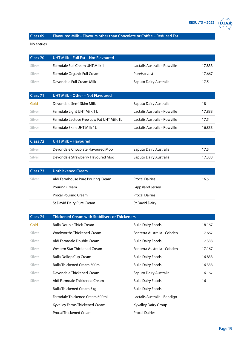

#### <span id="page-18-0"></span>**Class 69 Flavoured Milk – Flavours other than Chocolate or Coffee – Reduced Fat**

| Class 70 | UHT Milk - Full Fat - Not Flavoured |                               |        |
|----------|-------------------------------------|-------------------------------|--------|
| Silver   | Farmdale Full Cream UHT Milk 1      | Lactalis Australia - Rowville | 17.833 |
| Silver   | Farmdale Organic Full Cream         | PureHarvest                   | 17.667 |
| Silver   | Devondale Full Cream Milk           | Saputo Dairy Australia        | 17.5   |

| Class 71 | UHT Milk - Other - Not Flavoured                 |                               |        |
|----------|--------------------------------------------------|-------------------------------|--------|
| Gold     | Devondale Semi Skim Milk                         | Saputo Dairy Australia        | 18     |
| Silver   | Farmdale Light UHT Milk 1 L                      | Lactalis Australia - Rowville | 17.833 |
| Silver   | <b>Farmdale Lactose Free Low Fat UHT Milk 1L</b> | Lactalis Australia - Rowville | 17.5   |
| Silver   | Farmdale Skim UHT Milk 1L                        | Lactalis Australia - Rowville | 16.833 |

| Class <sub>72</sub> | UHT Milk - Flavoured               |                        |        |
|---------------------|------------------------------------|------------------------|--------|
| Silver              | Devondale Chocolate Flavoured Moo  | Saputo Dairy Australia | 17.5   |
| Silver              | Devondale Strawberry Flavoured Moo | Saputo Dairy Australia | 17.333 |

| Class <sub>73</sub> | <b>Unthickened Cream</b>          |                       |      |
|---------------------|-----------------------------------|-----------------------|------|
| Silver              | Aldi Farmhouse Pure Pouring Cream | <b>Procal Dairies</b> | 16.5 |
|                     | Pouring Cream                     | Gippsland Jersey      |      |
|                     | <b>Procal Pouring Cream</b>       | <b>Procal Dairies</b> |      |
|                     | St David Dairy Pure Cream         | St David Dairy        |      |

| Class 74 | <b>Thickened Cream with Stabilisers or Thickeners</b> |                              |        |
|----------|-------------------------------------------------------|------------------------------|--------|
| Gold     | <b>Bulla Double Thick Cream</b>                       | <b>Bulla Dairy Foods</b>     | 18.167 |
| Silver   | Woolworths Thickened Cream                            | Fonterra Australia - Cobden  | 17.667 |
| Silver   | Aldi Farmdale Double Cream                            | <b>Bulla Dairy Foods</b>     | 17.333 |
| Silver   | Western Star Thickened Cream                          | Fonterra Australia - Cobden  | 17.167 |
| Silver   | Bulla Dollop Cup Cream                                | <b>Bulla Dairy Foods</b>     | 16.833 |
| Silver   | <b>Bulla Thickened Cream 300ml</b>                    | <b>Bulla Dairy Foods</b>     | 16.333 |
| Silver   | Devondale Thickened Cream                             | Saputo Dairy Australia       | 16.167 |
| Silver   | Aldi Farmdale Thickened Cream                         | <b>Bulla Dairy Foods</b>     | 16     |
|          | Bulla Thickened Cream 5kg                             | <b>Bulla Dairy Foods</b>     |        |
|          | Farmdale Thickened Cream 600ml                        | Lactalis Australia - Bendigo |        |
|          | Kyvalley Farms Thickened Cream                        | Kyvalley Dairy Group         |        |
|          | <b>Procal Thickened Cream</b>                         | <b>Procal Dairies</b>        |        |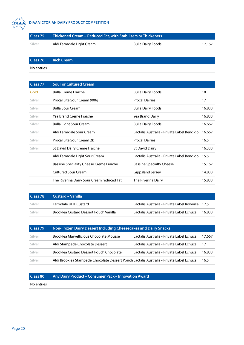<span id="page-19-0"></span>

#### **DIAA VICTORIAN DAIRY PRODUCT COMPETITION**

| Class 75 | Thickened Cream – Reduced Fat, with Stabilisers or Thickeners |                          |        |
|----------|---------------------------------------------------------------|--------------------------|--------|
| Silver   | Aldi Farmdale Light Cream                                     | <b>Bulla Dairy Foods</b> | 17.167 |

**Class 76 Rich Cream**

No entries

| Class 77 | <b>Sour or Cultured Cream</b>             |                                            |        |
|----------|-------------------------------------------|--------------------------------------------|--------|
| Gold     | Bulla Crème Fraiche                       | <b>Bulla Dairy Foods</b>                   | 18     |
| Silver   | Procal Lite Sour Cream 900g               | <b>Procal Dairies</b>                      | 17     |
| Silver   | <b>Bulla Sour Cream</b>                   | <b>Bulla Dairy Foods</b>                   | 16.833 |
| Silver   | Yea Brand Crème Fraiche                   | Yea Brand Dairy                            | 16.833 |
| Silver   | <b>Bulla Light Sour Cream</b>             | <b>Bulla Dairy Foods</b>                   | 16.667 |
| Silver   | Aldi Farmdale Sour Cream                  | Lactalis Australia - Private Label Bendigo | 16.667 |
| Silver   | Procal Lite Sour Cream 2k                 | <b>Procal Dairies</b>                      | 16.5   |
| Silver   | St David Dairy Crème Fraiche              | <b>St David Dairy</b>                      | 16.333 |
|          | Aldi Farmdale Light Sour Cream            | Lactalis Australia - Private Label Bendigo | 15.5   |
|          | Bassine Speciality Cheese Crème Fraiche   | <b>Bassine Specialty Cheese</b>            | 15.167 |
|          | <b>Cultured Sour Cream</b>                | Gippsland Jersey                           | 14.833 |
|          | The Riverina Dairy Sour Cream reduced Fat | The Riverina Dairy                         | 15.833 |

| Class <sub>78</sub> | <b>Custard - Vanilla</b>                      |                                                  |        |
|---------------------|-----------------------------------------------|--------------------------------------------------|--------|
| Silver              | Farmdale UHT Custard                          | Lactalis Australia - Private Label Rowville 17.5 |        |
| Silver              | <b>Brooklea Custard Dessert Pouch Vanilla</b> | Lactalis Australia - Private Label Echuca        | 16.833 |

| Class 79 | Non-Frozen Dairy Dessert Including Cheesecakes and Dairy Snacks                          |                                           |        |
|----------|------------------------------------------------------------------------------------------|-------------------------------------------|--------|
| Silver   | Brooklea Marvellicious Chocolate Mousse                                                  | Lactalis Australia - Private Label Echuca | 17.667 |
| Silver   | Aldi Stampede Chocolate Dessert                                                          | Lactalis Australia - Private Label Echuca | 17     |
| Silver   | <b>Brooklea Custard Dessert Pouch Chocolate</b>                                          | Lactalis Australia - Private Label Echuca | 16.833 |
| Silver   | Aldi Brooklea Stampede Chocolate Dessert Pouch Lactalis Australia - Private Label Echuca |                                           | 16.5   |

**Class 80 Any Dairy Product – Consumer Pack – Innovation Award**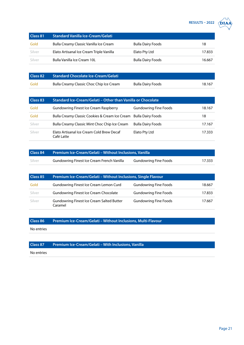

<span id="page-20-0"></span>

| Class 81 | <b>Standard Vanilla Ice-Cream/Gelati</b> |                          |        |
|----------|------------------------------------------|--------------------------|--------|
| Gold     | Bulla Creamy Classic Vanilla Ice Cream   | <b>Bulla Dairy Foods</b> | 18     |
| Silver   | Elato Artisanal Ice Cream Triple Vanilla | Elato Pty Ltd            | 17.833 |
| Silver   | Bulla Vanilla Ice Cream 10L              | <b>Bulla Dairy Foods</b> | 16.667 |

| Class 82 | <b>Standard Chocolate Ice-Cream/Gelati</b> |                          |        |
|----------|--------------------------------------------|--------------------------|--------|
| Gold     | Bulla Creamy Classic Choc Chip Ice Cream   | <b>Bulla Dairy Foods</b> | 18.167 |

| Class 83 | Standard Ice-Cream/Gelati – Other than Vanilla or Chocolate      |                              |        |
|----------|------------------------------------------------------------------|------------------------------|--------|
| Gold     | <b>Gundowring Finest Ice Cream Raspberry</b>                     | <b>Gundowring Fine Foods</b> | 18.167 |
| Gold     | Bulla Creamy Classic Cookies & Cream Ice Cream Bulla Dairy Foods |                              | 18     |
| Silver   | Bulla Creamy Classic Mint Choc Chip Ice Cream                    | <b>Bulla Dairy Foods</b>     | 17.167 |
| Silver   | Elato Artisanal Ice Cream Cold Brew Decaf<br>Café Latte          | Elato Pty Ltd                | 17.333 |

| Class 84 | <b>Premium Ice-Cream/Gelati – Without Inclusions, Vanilla</b> |                              |        |
|----------|---------------------------------------------------------------|------------------------------|--------|
| Silver   | Gundowring Finest Ice Cream French Vanilla                    | <b>Gundowring Fine Foods</b> | 17.333 |

| Class 85 | Premium Ice-Cream/Gelati - Without Inclusions, Single Flavour |                              |        |
|----------|---------------------------------------------------------------|------------------------------|--------|
| Gold     | Gundowring Finest Ice Cream Lemon Curd                        | <b>Gundowring Fine Foods</b> | 18.667 |
| Silver   | <b>Gundowring Finest Ice Cream Chocolate</b>                  | <b>Gundowring Fine Foods</b> | 17.833 |
| Silver   | <b>Gundowring Finest Ice Cream Salted Butter</b><br>Caramel   | <b>Gundowring Fine Foods</b> | 17.667 |

**Class 86 Premium Ice-Cream/Gelati – Without Inclusions, Multi-Flavour**

No entries

#### **Class 87 Premium Ice-Cream/Gelati – With Inclusions, Vanilla**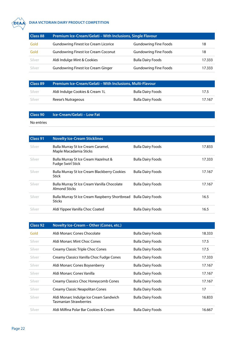<span id="page-21-0"></span>

#### **DIAA VIC DIAA VICTORIAN DAIRY PRODUCT COMPETITION**

| Class 88 | Premium Ice-Cream/Gelati - With Inclusions, Single Flavour |                              |        |
|----------|------------------------------------------------------------|------------------------------|--------|
| Gold     | <b>Gundowring Finest Ice Cream Licorice</b>                | <b>Gundowring Fine Foods</b> | 18     |
| Gold     | <b>Gundowring Finest Ice Cream Coconut</b>                 | <b>Gundowring Fine Foods</b> | 18     |
| Silver   | Aldi Indulge Mint & Cookies                                | <b>Bulla Dairy Foods</b>     | 17.333 |
| Silver   | <b>Gundowring Finest Ice Cream Ginger</b>                  | <b>Gundowring Fine Foods</b> | 17.333 |

| Class 89 | <b>Premium Ice-Cream/Gelati - With Inclusions, Multi-Flavour</b> |                          |        |
|----------|------------------------------------------------------------------|--------------------------|--------|
| Silver   | Aldi Indulge Cookies & Cream 1L                                  | Bulla Dairy Foods        | 17.5   |
| Silver   | Reese's Nutrageous                                               | <b>Bulla Dairy Foods</b> | 17.167 |

**Class 90 Ice-Cream/Gelati – Low Fat**

| Class 91 | <b>Novelty Ice-Cream Sticklines</b>                                               |                          |        |
|----------|-----------------------------------------------------------------------------------|--------------------------|--------|
| Silver   | Bulla Murray St Ice Cream Caramel,<br>Maple Macadamia Sticks                      | <b>Bulla Dairy Foods</b> | 17.833 |
| Silver   | Bulla Murray St Ice Cream Hazelnut &<br><b>Fudge Swirl Stick</b>                  | <b>Bulla Dairy Foods</b> | 17.333 |
| Silver   | Bulla Murray St Ice Cream Blackberry Cookies<br>Stick                             | <b>Bulla Dairy Foods</b> | 17.167 |
| Silver   | Bulla Murray St Ice Cream Vanilla Chocolate<br><b>Almond Sticks</b>               | <b>Bulla Dairy Foods</b> | 17.167 |
| Silver   | Bulla Murray St Ice Cream Raspberry Shortbread Bulla Dairy Foods<br><b>Sticks</b> |                          | 16.5   |
| Silver   | Aldi Yippee Vanilla Choc Coated                                                   | <b>Bulla Dairy Foods</b> | 16.5   |

| <b>Class 92</b> | Novelty Ice-Cream - Other (Cones, etc.)                          |                          |        |
|-----------------|------------------------------------------------------------------|--------------------------|--------|
| Gold            | Aldi Monarc Cones Chocolate                                      | <b>Bulla Dairy Foods</b> | 18.333 |
| Silver          | Aldi Monarc Mint Choc Cones                                      | <b>Bulla Dairy Foods</b> | 17.5   |
| Silver          | Creamy Classic Triple Choc Cones                                 | <b>Bulla Dairy Foods</b> | 17.5   |
| Silver          | Creamy Classics Vanilla Choc Fudge Cones                         | <b>Bulla Dairy Foods</b> | 17.333 |
| Silver          | Aldi Monarc Cones Boysenberry                                    | <b>Bulla Dairy Foods</b> | 17.167 |
| Silver          | Aldi Monarc Cones Vanilla                                        | <b>Bulla Dairy Foods</b> | 17.167 |
| Silver          | Creamy Classics Choc Honeycomb Cones                             | <b>Bulla Dairy Foods</b> | 17.167 |
| Silver          | Creamy Classic Neapolitan Cones                                  | <b>Bulla Dairy Foods</b> | 17     |
| Silver          | Aldi Monarc Indulge Ice Cream Sandwich<br>Tasmanian Strawberries | <b>Bulla Dairy Foods</b> | 16.833 |
| Silver          | Aldi Milfina Polar Bar Cookies & Cream                           | <b>Bulla Dairy Foods</b> | 16.667 |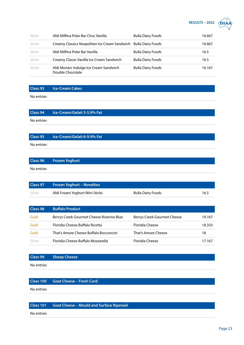

<span id="page-22-0"></span>

| Silver | Aldi Milfina Polar Bar Choc Vanilla                             | <b>Bulla Dairy Foods</b> | 16.667 |
|--------|-----------------------------------------------------------------|--------------------------|--------|
| Silver | Creamy Classics Neapolitan Ice Cream Sandwich Bulla Dairy Foods |                          | 16.667 |
| Silver | Aldi Milfina Polar Bar Vanilla                                  | <b>Bulla Dairy Foods</b> | 16.5   |
| Silver | Creamy Classic Vanilla Ice Cream Sandwich                       | <b>Bulla Dairy Foods</b> | 16.5   |
| Silver | Aldi Monarc Indulge Ice Cream Sandwich<br>Double Chocolate      | <b>Bulla Dairy Foods</b> | 16.167 |

**Class 93 Ice-Cream Cakes**

No entries

**Class 94 Ice-Cream/Gelati 3-5.9% Fat** No entries

**Class 95 Ice-Cream/Gelati 6-9.9% Fat** No entries

|            | <b>Class 96 Frozen Yoghurt</b> |
|------------|--------------------------------|
| No entries |                                |

| Class 97 | <b>Frozen Yoghurt - Novelties</b> |                          |      |
|----------|-----------------------------------|--------------------------|------|
| Silver   | Aldi Frozen Yoghurt Mini Sticks   | <b>Bulla Dairy Foods</b> | 16.5 |

| Class 98 | <b>Buffalo Product</b>                    |                             |        |
|----------|-------------------------------------------|-----------------------------|--------|
| Gold     | Berrys Creek Gourmet Cheese Riverine Blue | Berrys Creek Gourmet Cheese | 19.167 |
| Gold     | Floridia Cheese Buffalo Ricotta           | <b>Floridia Cheese</b>      | 18.333 |
| Gold     | That's Amore Cheese Buffalo Bocconcini    | That's Amore Cheese         | 18     |
| Silver   | Floridia Cheese Buffalo Mozzarella        | <b>Floridia Cheese</b>      | 17.167 |

## **Class 99 Sheep Cheese** No entries

**Class 100 Goat Cheese – Fresh Curd**

No entries

#### **Class 101 Goat Cheese – Mould and Surface Ripened**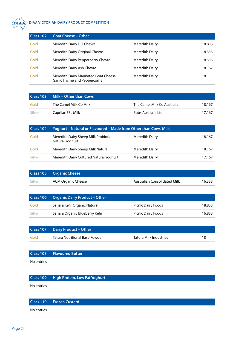<span id="page-23-0"></span>

#### **DIAA VIC DIAA VICTORIAN DAIRY PRODUCT COMPETITION**

| Class 102 | <b>Goat Cheese - Other</b>                                           |                       |        |
|-----------|----------------------------------------------------------------------|-----------------------|--------|
| Gold      | Meredith Dairy Dill Chevre                                           | Meredith Dairy        | 18.833 |
| Gold      | Meredith Dairy Original Chevre                                       | Meredith Dairy        | 18.333 |
| Gold      | Meredith Dairy Pepperberry Chevre                                    | Meredith Dairy        | 18.333 |
| Gold      | Meredith Dairy Ash Chevre                                            | <b>Meredith Dairy</b> | 18.167 |
| Gold      | Meredith Dairy Marinated Goat Cheese<br>Garlic Thyme and Peppercorns | <b>Meredith Dairy</b> | 18     |

|        | Class 103 Milk - Other than Cows' |                             |        |
|--------|-----------------------------------|-----------------------------|--------|
| Gold   | The Camel Milk Co Milk            | The Camel Milk Co Australia | 18.167 |
| Silver | Caprilac ESL Milk                 | Bubs Australia Ltd          | 17.167 |

| Class 104 | Yoghurt - Natural or Flavoured - Made from Other than Cows' Milk |                       |        |
|-----------|------------------------------------------------------------------|-----------------------|--------|
| Gold      | Meredith Dairy Sheep Milk Probiotic<br>Natural Yoghurt           | <b>Meredith Dairy</b> | 18.167 |
| Gold      | Meredith Dairy Sheep Milk Natural                                | <b>Meredith Dairy</b> | 18.167 |
| Silver    | Meredith Dairy Cultured Natural Yoghurt                          | <b>Meredith Dairy</b> | 17.167 |

|        | <b>Class 105 Organic Cheese</b> |                              |        |
|--------|---------------------------------|------------------------------|--------|
| Silver | <b>ACM Organic Cheese</b>       | Australian Consolidated Milk | 16.333 |

|        | <b>Class 106 Organic Dairy Product - Other</b> |                           |        |
|--------|------------------------------------------------|---------------------------|--------|
| Gold   | Sahara Kefir Organic Natural                   | <b>Picnic Dairy Foods</b> | 18.833 |
| Silver | Sahara Organic Blueberry Kefir                 | <b>Picnic Dairy Foods</b> | 16.833 |

|      | <b>Class 107 Dairy Product - Other</b> |                        |  |
|------|----------------------------------------|------------------------|--|
| Gold | <b>Tatura Nutritional Base Powder</b>  | Tatura Milk Industries |  |

|            | <b>Class 108 Flavoured Butter</b> |
|------------|-----------------------------------|
| No entries |                                   |

|            | <b>Class 109 High Protein, Low Fat Yoghurt</b> |
|------------|------------------------------------------------|
| No entries |                                                |

|            | <b>Class 110 Frozen Custard</b> |
|------------|---------------------------------|
| No entries |                                 |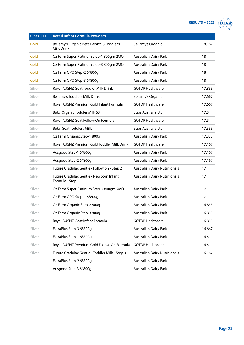| RESULTS - 2022 $\sqrt{\mathbf{DIAA}}$ |
|---------------------------------------|
|---------------------------------------|

| DTA. | ≏ |
|------|---|
|      |   |

<span id="page-24-0"></span>

| Class 111 | <b>Retail Infant Formula Powders</b>                        |                                      |        |
|-----------|-------------------------------------------------------------|--------------------------------------|--------|
| Gold      | Bellamy's Organic Beta Genica-8 Toddler's<br>Milk Drink     | <b>Bellamy's Organic</b>             | 18.167 |
| Gold      | Oz Farm Super Platinum step-1 800gm 2MO                     | <b>Australian Dairy Park</b>         | 18     |
| Gold      | Oz Farm Super Platinum step-3 800gm 2MO                     | <b>Australian Dairy Park</b>         | 18     |
| Gold      | Oz Farm OPO Step-2 6*800g                                   | <b>Australian Dairy Park</b>         | 18     |
| Gold      | Oz Farm OPO Step-3 6*800g                                   | <b>Australian Dairy Park</b>         | 18     |
| Silver    | Royal AUSNZ Goat Toddler Milk Drink                         | <b>GOTOP Healthcare</b>              | 17.833 |
| Silver    | Bellamy's Toddlers Milk Drink                               | <b>Bellamy's Organic</b>             | 17.667 |
| Silver    | Royal AUSNZ Premium Gold Infant Formula                     | <b>GOTOP Healthcare</b>              | 17.667 |
| Silver    | <b>Bubs Organic Toddler Milk S3</b>                         | <b>Bubs Australia Ltd</b>            | 17.5   |
| Silver    | Royal AUSNZ Goat Follow-On Formula                          | <b>GOTOP Healthcare</b>              | 17.5   |
| Silver    | <b>Bubs Goat Toddlers Milk</b>                              | Bubs Australia Ltd                   | 17.333 |
| Silver    | Oz Farm Organic Step-1 800g                                 | <b>Australian Dairy Park</b>         | 17.333 |
| Silver    | Royal AUSNZ Premium Gold Toddler Milk Drink                 | <b>GOTOP Healthcare</b>              | 17.167 |
| Silver    | Ausgood Step-1 6*800g                                       | <b>Australian Dairy Park</b>         | 17.167 |
| Silver    | Ausgood Step-2 6*800g                                       | <b>Australian Dairy Park</b>         | 17.167 |
| Silver    | Future Gradulac Gentle - Follow on - Step 2                 | <b>Australian Dairy Nutritionals</b> | 17     |
| Silver    | Future Gradulac Gentle - Newborn Infant<br>Formula - Step 1 | <b>Australian Dairy Nutritionals</b> | 17     |
| Silver    | Oz Farm Super Platinum Step-2 800gm 2MO                     | <b>Australian Dairy Park</b>         | 17     |
| Silver    | Oz Farm OPO Step-1 6*800g                                   | <b>Australian Dairy Park</b>         | 17     |
| Silver    | Oz Farm Organic Step-2 800g                                 | <b>Australian Dairy Park</b>         | 16.833 |
| Silver    | Oz Farm Organic Step-3 800g                                 | <b>Australian Dairy Park</b>         | 16.833 |
| Silver    | Royal AUSNZ Goat Infant Formula                             | <b>GOTOP Healthcare</b>              | 16.833 |
| Silver    | ExtraPlus Step-3 6*800g                                     | <b>Australian Dairy Park</b>         | 16.667 |
| Silver    | ExtraPlus Step-1 6*800g                                     | <b>Australian Dairy Park</b>         | 16.5   |
| Silver    | Royal AUSNZ Premium Gold Follow-On Formula                  | <b>GOTOP Healthcare</b>              | 16.5   |
| Silver    | Future Gradulac Gentle - Toddler Milk - Step 3              | <b>Australian Dairy Nutritionals</b> | 16.167 |
|           | ExtraPlus Step-2 6*800g                                     | Australian Dairy Park                |        |
|           | Ausgood Step-3 6*800g                                       | Australian Dairy Park                |        |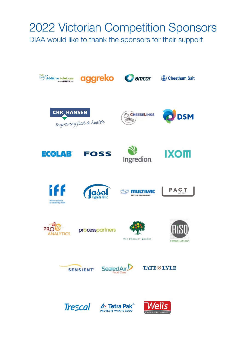## 2022 Victorian Competition Sponsors

DIAA would like to thank the sponsors for their support